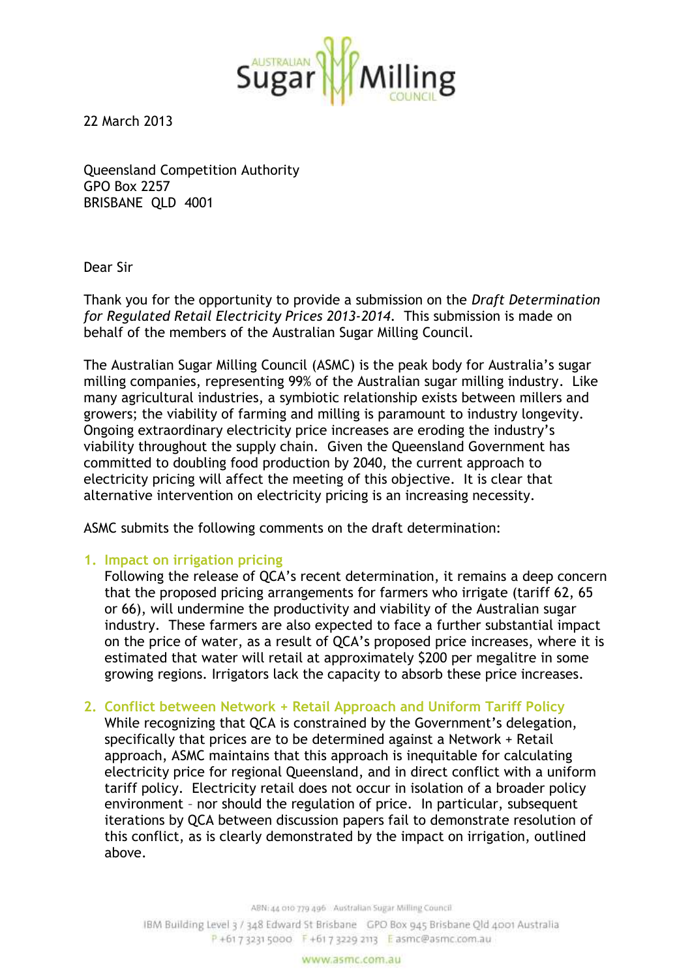

22 March 2013

Queensland Competition Authority GPO Box 2257 BRISBANE QLD 4001

Dear Sir

Thank you for the opportunity to provide a submission on the *Draft Determination for Regulated Retail Electricity Prices 2013-2014*. This submission is made on behalf of the members of the Australian Sugar Milling Council.

The Australian Sugar Milling Council (ASMC) is the peak body for Australia's sugar milling companies, representing 99% of the Australian sugar milling industry. Like many agricultural industries, a symbiotic relationship exists between millers and growers; the viability of farming and milling is paramount to industry longevity. Ongoing extraordinary electricity price increases are eroding the industry's viability throughout the supply chain. Given the Queensland Government has committed to doubling food production by 2040, the current approach to electricity pricing will affect the meeting of this objective. It is clear that alternative intervention on electricity pricing is an increasing necessity.

ASMC submits the following comments on the draft determination:

## **1. Impact on irrigation pricing**

Following the release of QCA's recent determination, it remains a deep concern that the proposed pricing arrangements for farmers who irrigate (tariff 62, 65 or 66), will undermine the productivity and viability of the Australian sugar industry. These farmers are also expected to face a further substantial impact on the price of water, as a result of QCA's proposed price increases, where it is estimated that water will retail at approximately \$200 per megalitre in some growing regions. Irrigators lack the capacity to absorb these price increases.

**2. Conflict between Network + Retail Approach and Uniform Tariff Policy**

While recognizing that QCA is constrained by the Government's delegation, specifically that prices are to be determined against a Network + Retail approach, ASMC maintains that this approach is inequitable for calculating electricity price for regional Queensland, and in direct conflict with a uniform tariff policy. Electricity retail does not occur in isolation of a broader policy environment – nor should the regulation of price. In particular, subsequent iterations by QCA between discussion papers fail to demonstrate resolution of this conflict, as is clearly demonstrated by the impact on irrigation, outlined above.

ABN: 44 010 779 496 Australian Sugar Milling Council

IBM Building Level 3 / 348 Edward St Brisbane GPO Box 945 Brisbane Old 4001 Australia P +61 7 3231 5000 F +61 7 3229 2113 E asmc@asmc.com.au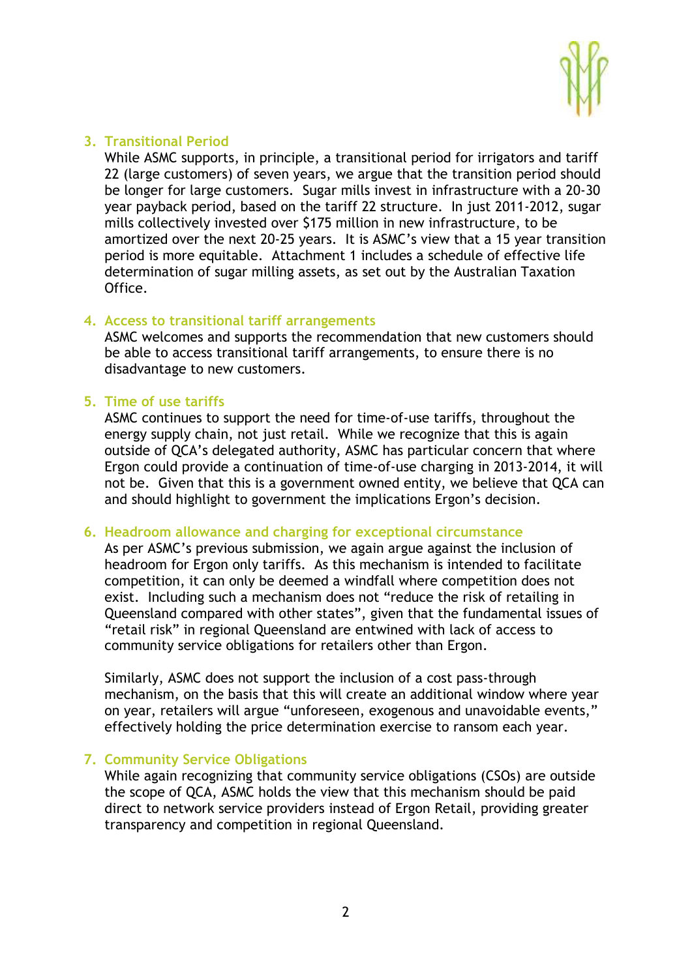

## **3. Transitional Period**

While ASMC supports, in principle, a transitional period for irrigators and tariff 22 (large customers) of seven years, we argue that the transition period should be longer for large customers. Sugar mills invest in infrastructure with a 20-30 year payback period, based on the tariff 22 structure. In just 2011-2012, sugar mills collectively invested over \$175 million in new infrastructure, to be amortized over the next 20-25 years. It is ASMC's view that a 15 year transition period is more equitable. Attachment 1 includes a schedule of effective life determination of sugar milling assets, as set out by the Australian Taxation Office.

## **4. Access to transitional tariff arrangements**

ASMC welcomes and supports the recommendation that new customers should be able to access transitional tariff arrangements, to ensure there is no disadvantage to new customers.

### **5. Time of use tariffs**

ASMC continues to support the need for time-of-use tariffs, throughout the energy supply chain, not just retail. While we recognize that this is again outside of QCA's delegated authority, ASMC has particular concern that where Ergon could provide a continuation of time-of-use charging in 2013-2014, it will not be. Given that this is a government owned entity, we believe that QCA can and should highlight to government the implications Ergon's decision.

#### **6. Headroom allowance and charging for exceptional circumstance**

As per ASMC's previous submission, we again argue against the inclusion of headroom for Ergon only tariffs. As this mechanism is intended to facilitate competition, it can only be deemed a windfall where competition does not exist. Including such a mechanism does not "reduce the risk of retailing in Queensland compared with other states", given that the fundamental issues of "retail risk" in regional Queensland are entwined with lack of access to community service obligations for retailers other than Ergon.

Similarly, ASMC does not support the inclusion of a cost pass-through mechanism, on the basis that this will create an additional window where year on year, retailers will argue "unforeseen, exogenous and unavoidable events," effectively holding the price determination exercise to ransom each year.

## **7. Community Service Obligations**

While again recognizing that community service obligations (CSOs) are outside the scope of QCA, ASMC holds the view that this mechanism should be paid direct to network service providers instead of Ergon Retail, providing greater transparency and competition in regional Queensland.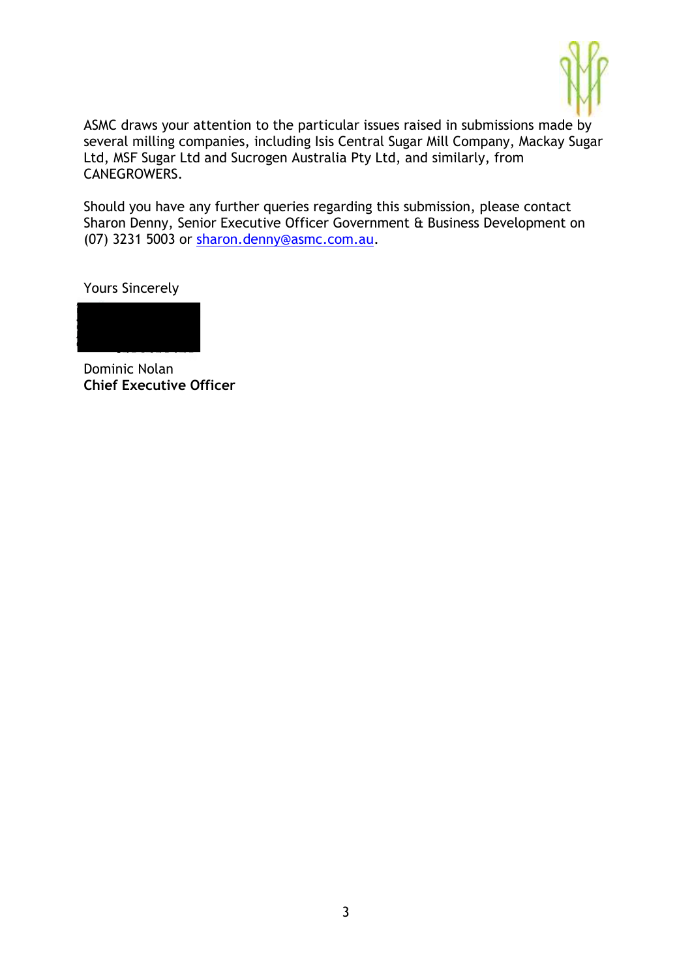

ASMC draws your attention to the particular issues raised in submissions made by several milling companies, including Isis Central Sugar Mill Company, Mackay Sugar Ltd, MSF Sugar Ltd and Sucrogen Australia Pty Ltd, and similarly, from CANEGROWERS.

Should you have any further queries regarding this submission, please contact Sharon Denny, Senior Executive Officer Government & Business Development on (07) 3231 5003 or [sharon.denny@asmc.com.au.](mailto:sharon.denny@asmc.com.au)

Yours Sincerely



Dominic Nolan **Chief Executive Officer**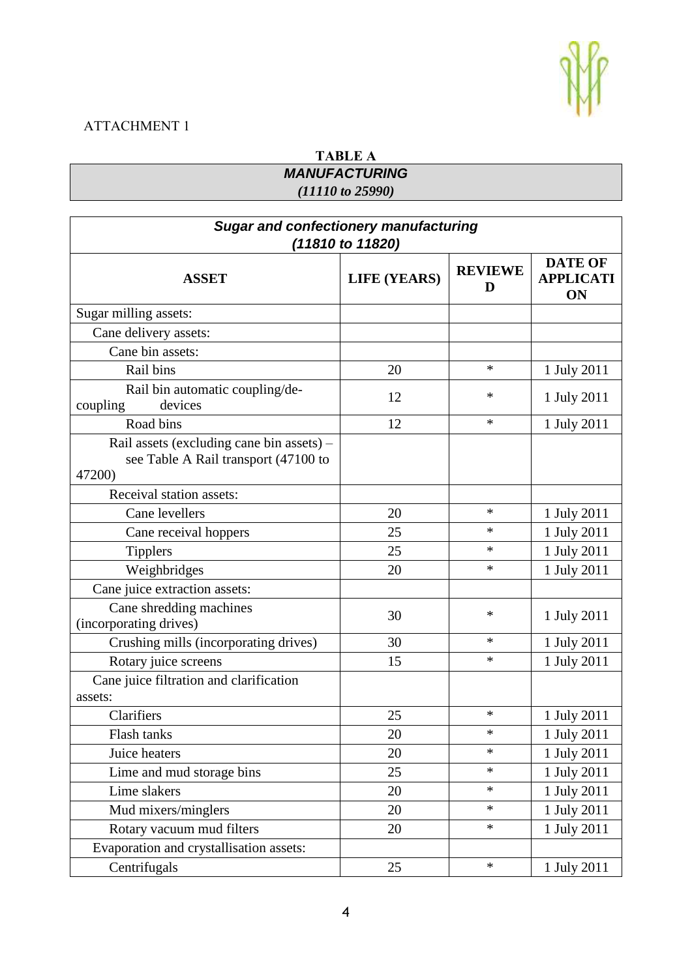# ATTACHMENT 1

# **TABLE A** *MANUFACTURING (11110 to 25990)*

| <b>Sugar and confectionery manufacturing</b><br>(11810 to 11820)                            |                     |                     |                                          |  |
|---------------------------------------------------------------------------------------------|---------------------|---------------------|------------------------------------------|--|
| <b>ASSET</b>                                                                                | <b>LIFE (YEARS)</b> | <b>REVIEWE</b><br>D | <b>DATE OF</b><br><b>APPLICATI</b><br>ON |  |
| Sugar milling assets:                                                                       |                     |                     |                                          |  |
| Cane delivery assets:                                                                       |                     |                     |                                          |  |
| Cane bin assets:                                                                            |                     |                     |                                          |  |
| Rail bins                                                                                   | 20                  | $\ast$              | 1 July 2011                              |  |
| Rail bin automatic coupling/de-<br>devices<br>coupling                                      | 12                  | ∗                   | 1 July 2011                              |  |
| Road bins                                                                                   | 12                  | $\ast$              | 1 July 2011                              |  |
| Rail assets (excluding cane bin assets) –<br>see Table A Rail transport (47100 to<br>47200) |                     |                     |                                          |  |
| Receival station assets:                                                                    |                     |                     |                                          |  |
| Cane levellers                                                                              | 20                  | $\ast$              | 1 July 2011                              |  |
| Cane receival hoppers                                                                       | 25                  | $\ast$              | 1 July 2011                              |  |
| <b>Tipplers</b>                                                                             | 25                  | $\ast$              | 1 July 2011                              |  |
| Weighbridges                                                                                | 20                  | $\ast$              | 1 July 2011                              |  |
| Cane juice extraction assets:                                                               |                     |                     |                                          |  |
| Cane shredding machines<br>(incorporating drives)                                           | 30                  | ∗                   | 1 July 2011                              |  |
| Crushing mills (incorporating drives)                                                       | 30                  | *                   | 1 July 2011                              |  |
| Rotary juice screens                                                                        | 15                  | *                   | 1 July 2011                              |  |
| Cane juice filtration and clarification<br>assets:                                          |                     |                     |                                          |  |
| Clarifiers                                                                                  | 25                  | *                   | 1 July 2011                              |  |
| Flash tanks                                                                                 | 20                  | *                   | 1 July 2011                              |  |
| Juice heaters                                                                               | 20                  | *                   | 1 July 2011                              |  |
| Lime and mud storage bins                                                                   | 25                  | $\ast$              | 1 July 2011                              |  |
| Lime slakers                                                                                | 20                  | $\ast$              | 1 July 2011                              |  |
| Mud mixers/minglers                                                                         | 20                  | $\ast$              | 1 July 2011                              |  |
| Rotary vacuum mud filters                                                                   | 20                  | $\ast$              | 1 July 2011                              |  |
| Evaporation and crystallisation assets:                                                     |                     |                     |                                          |  |
| Centrifugals                                                                                | 25                  | $\ast$              | 1 July 2011                              |  |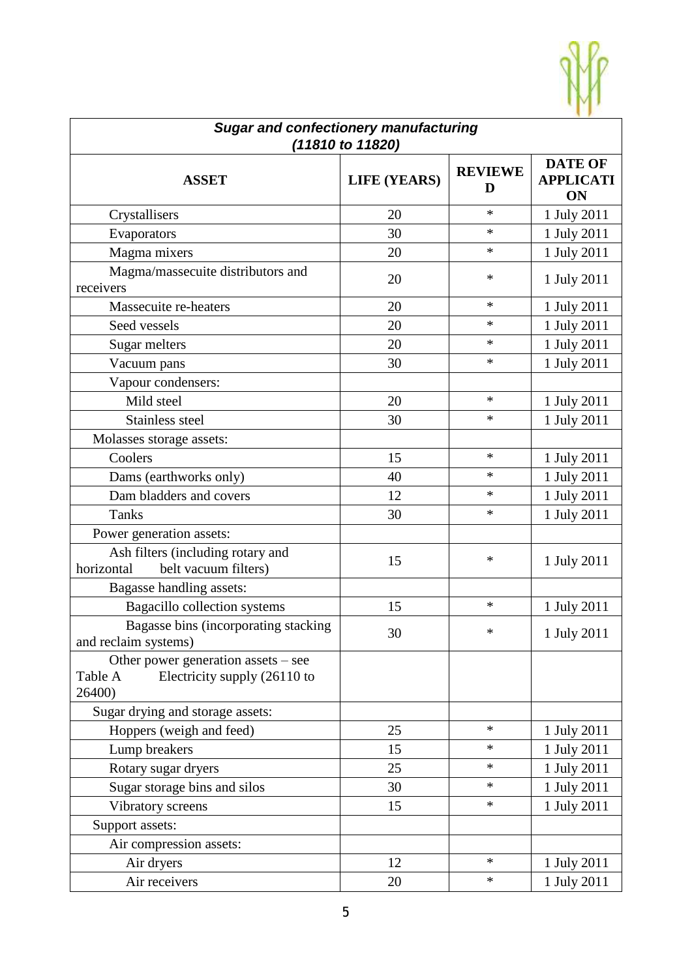

| <b>Sugar and confectionery manufacturing</b><br>(11810 to 11820)                           |                     |                     |                                                 |  |
|--------------------------------------------------------------------------------------------|---------------------|---------------------|-------------------------------------------------|--|
| <b>ASSET</b>                                                                               | <b>LIFE (YEARS)</b> | <b>REVIEWE</b><br>D | <b>DATE OF</b><br><b>APPLICATI</b><br><b>ON</b> |  |
| Crystallisers                                                                              | 20                  | $\ast$              | 1 July 2011                                     |  |
| Evaporators                                                                                | 30                  | $\ast$              | 1 July 2011                                     |  |
| Magma mixers                                                                               | 20                  | $\ast$              | 1 July 2011                                     |  |
| Magma/massecuite distributors and<br>receivers                                             | 20                  | ∗                   | 1 July 2011                                     |  |
| Massecuite re-heaters                                                                      | 20                  | $\ast$              | 1 July 2011                                     |  |
| Seed vessels                                                                               | 20                  | $\ast$              | 1 July 2011                                     |  |
| Sugar melters                                                                              | 20                  | $\ast$              | 1 July 2011                                     |  |
| Vacuum pans                                                                                | 30                  | $\ast$              | 1 July 2011                                     |  |
| Vapour condensers:                                                                         |                     |                     |                                                 |  |
| Mild steel                                                                                 | 20                  | $\ast$              | 1 July 2011                                     |  |
| Stainless steel                                                                            | 30                  | $\ast$              | 1 July 2011                                     |  |
| Molasses storage assets:                                                                   |                     |                     |                                                 |  |
| Coolers                                                                                    | 15                  | $\ast$              | 1 July 2011                                     |  |
| Dams (earthworks only)                                                                     | 40                  | $\ast$              | 1 July 2011                                     |  |
| Dam bladders and covers                                                                    | 12                  | *                   | 1 July 2011                                     |  |
| <b>Tanks</b>                                                                               | 30                  | $\ast$              | 1 July 2011                                     |  |
| Power generation assets:                                                                   |                     |                     |                                                 |  |
| Ash filters (including rotary and<br>horizontal<br>belt vacuum filters)                    | 15                  | $\ast$              | 1 July 2011                                     |  |
| Bagasse handling assets:                                                                   |                     |                     |                                                 |  |
| Bagacillo collection systems                                                               | 15                  | $\ast$              | 1 July 2011                                     |  |
| Bagasse bins (incorporating stacking<br>and reclaim systems)                               | 30                  | ∗                   | 1 July 2011                                     |  |
| Other power generation assets $-$ see<br>Electricity supply (26110 to<br>Table A<br>26400) |                     |                     |                                                 |  |
| Sugar drying and storage assets:                                                           |                     |                     |                                                 |  |
| Hoppers (weigh and feed)                                                                   | 25                  | $\ast$              | 1 July 2011                                     |  |
| Lump breakers                                                                              | 15                  | $\ast$              | 1 July 2011                                     |  |
| Rotary sugar dryers                                                                        | 25                  | $\ast$              | 1 July 2011                                     |  |
| Sugar storage bins and silos                                                               | 30                  | $\ast$              | 1 July 2011                                     |  |
| Vibratory screens                                                                          | 15                  | $\ast$              | 1 July 2011                                     |  |
| Support assets:                                                                            |                     |                     |                                                 |  |
| Air compression assets:                                                                    |                     |                     |                                                 |  |
| Air dryers                                                                                 | 12                  | $\ast$              | 1 July 2011                                     |  |
| Air receivers                                                                              | 20                  | $\ast$              | 1 July 2011                                     |  |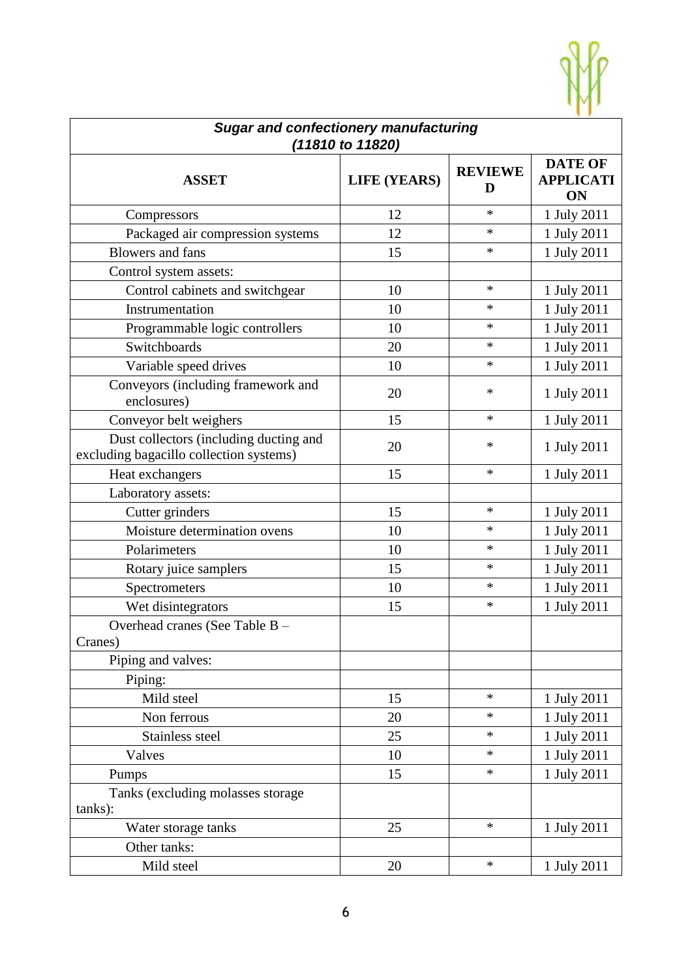

| <b>Sugar and confectionery manufacturing</b><br>(11810 to 11820)                  |                     |                     |                                                 |  |
|-----------------------------------------------------------------------------------|---------------------|---------------------|-------------------------------------------------|--|
| <b>ASSET</b>                                                                      | <b>LIFE (YEARS)</b> | <b>REVIEWE</b><br>D | <b>DATE OF</b><br><b>APPLICATI</b><br><b>ON</b> |  |
| Compressors                                                                       | 12                  | $\ast$              | 1 July 2011                                     |  |
| Packaged air compression systems                                                  | 12                  | *                   | 1 July 2011                                     |  |
| <b>Blowers</b> and fans                                                           | 15                  | $\ast$              | 1 July 2011                                     |  |
| Control system assets:                                                            |                     |                     |                                                 |  |
| Control cabinets and switchgear                                                   | 10                  | $\ast$              | 1 July 2011                                     |  |
| Instrumentation                                                                   | 10                  | $\ast$              | 1 July 2011                                     |  |
| Programmable logic controllers                                                    | 10                  | *                   | 1 July 2011                                     |  |
| Switchboards                                                                      | 20                  | $\ast$              | 1 July 2011                                     |  |
| Variable speed drives                                                             | 10                  | $\ast$              | 1 July 2011                                     |  |
| Conveyors (including framework and<br>enclosures)                                 | 20                  | $\ast$              | 1 July 2011                                     |  |
| Conveyor belt weighers                                                            | 15                  | $\ast$              | 1 July 2011                                     |  |
| Dust collectors (including ducting and<br>excluding bagacillo collection systems) | 20                  | $\ast$              | 1 July 2011                                     |  |
| Heat exchangers                                                                   | 15                  | $\ast$              | 1 July 2011                                     |  |
| Laboratory assets:                                                                |                     |                     |                                                 |  |
| Cutter grinders                                                                   | 15                  | $\ast$              | 1 July 2011                                     |  |
| Moisture determination ovens                                                      | 10                  | $\ast$              | 1 July 2011                                     |  |
| Polarimeters                                                                      | 10                  | $\ast$              | 1 July 2011                                     |  |
| Rotary juice samplers                                                             | 15                  | $\ast$              | 1 July 2011                                     |  |
| Spectrometers                                                                     | 10                  | $\ast$              | 1 July 2011                                     |  |
| Wet disintegrators                                                                | 15                  | $\ast$              | 1 July 2011                                     |  |
| Overhead cranes (See Table B -<br>Cranes)                                         |                     |                     |                                                 |  |
| Piping and valves:                                                                |                     |                     |                                                 |  |
| Piping:                                                                           |                     |                     |                                                 |  |
| Mild steel                                                                        | 15                  | $\ast$              | 1 July 2011                                     |  |
| Non ferrous                                                                       | 20                  | $\ast$              | 1 July 2011                                     |  |
| Stainless steel                                                                   | 25                  | $\ast$              | 1 July 2011                                     |  |
| Valves                                                                            | 10                  | $\ast$              | 1 July 2011                                     |  |
| Pumps                                                                             | 15                  | $\ast$              | 1 July 2011                                     |  |
| Tanks (excluding molasses storage)<br>tanks):                                     |                     |                     |                                                 |  |
| Water storage tanks                                                               | 25                  | $\ast$              | 1 July 2011                                     |  |
| Other tanks:                                                                      |                     |                     |                                                 |  |
| Mild steel                                                                        | 20                  | $\ast$              | 1 July 2011                                     |  |